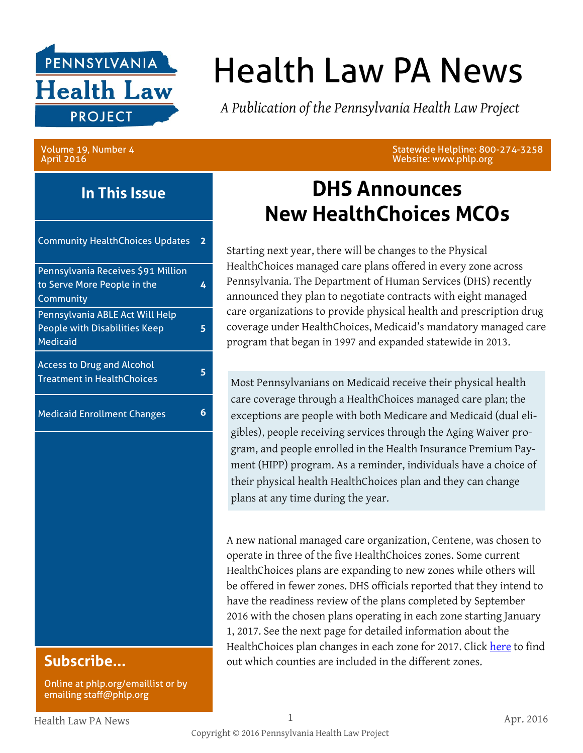

# Health Law PA News

*A Publication of the Pennsylvania Health Law Project*

Volume 19, Number 4 April 2016

**In This Issue**

| <b>Community HealthChoices Updates</b>                                                     | 2 |
|--------------------------------------------------------------------------------------------|---|
| Pennsylvania Receives \$91 Million<br>to Serve More People in the<br>Community             | 4 |
| Pennsylvania ABLE Act Will Help<br><b>People with Disabilities Keep</b><br><b>Medicaid</b> | 5 |
| <b>Access to Drug and Alcohol</b><br><b>Treatment in HealthChoices</b>                     | 5 |
| <b>Medicaid Enrollment Changes</b>                                                         | 6 |
|                                                                                            |   |
|                                                                                            |   |
|                                                                                            |   |
|                                                                                            |   |
|                                                                                            |   |
|                                                                                            |   |
| Subscribe                                                                                  |   |

Online at [phlp.org/emaillist](http://www.phlp.org/home-page/emaillist) or by emailing [staff@phlp.org](mailto:staff@phlp.org)

Statewide Helpline: 800-274-3258 Website: www.phlp.org

#### **DHS Announces New HealthChoices MCOs**

Starting next year, there will be changes to the Physical HealthChoices managed care plans offered in every zone across Pennsylvania. The Department of Human Services (DHS) recently announced they plan to negotiate contracts with eight managed care organizations to provide physical health and prescription drug coverage under HealthChoices, Medicaid's mandatory managed care program that began in 1997 and expanded statewide in 2013.

Most Pennsylvanians on Medicaid receive their physical health care coverage through a HealthChoices managed care plan; the exceptions are people with both Medicare and Medicaid (dual eligibles), people receiving services through the Aging Waiver program, and people enrolled in the Health Insurance Premium Payment (HIPP) program. As a reminder, individuals have a choice of their physical health HealthChoices plan and they can change plans at any time during the year.

A new national managed care organization, Centene, was chosen to operate in three of the five HealthChoices zones. Some current HealthChoices plans are expanding to new zones while others will be offered in fewer zones. DHS officials reported that they intend to have the readiness review of the plans completed by September 2016 with the chosen plans operating in each zone starting January 1, 2017. See the next page for detailed information about the HealthChoices plan changes in each zone for 2017. Click [here](https://www.enrollnow.net/PASelfService/resources/portal/index.html#page/resources_plans_for_a_county) to find out which counties are included in the different zones.

Health Law PA News 1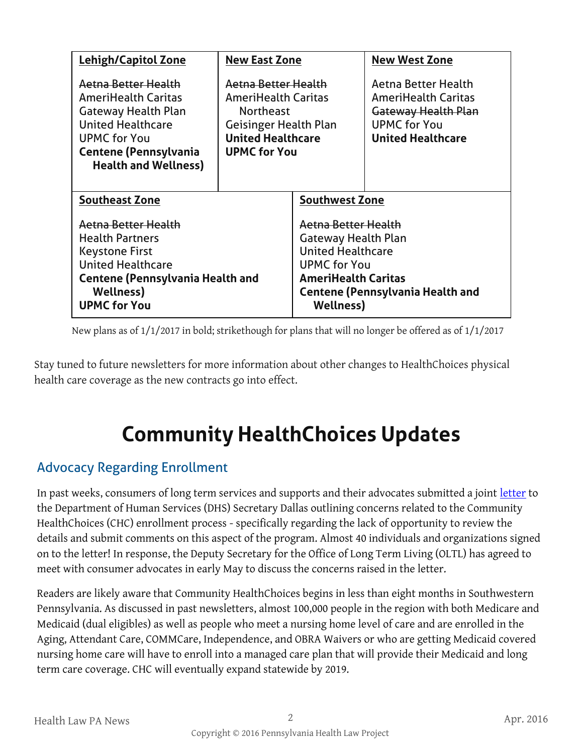| <b>Lehigh/Capitol Zone</b>                                                                                                                                                                        | <b>New East Zone</b>                                                                                                                                     |                                                                                                                                                                                                    | <b>New West Zone</b>                                                                                                        |
|---------------------------------------------------------------------------------------------------------------------------------------------------------------------------------------------------|----------------------------------------------------------------------------------------------------------------------------------------------------------|----------------------------------------------------------------------------------------------------------------------------------------------------------------------------------------------------|-----------------------------------------------------------------------------------------------------------------------------|
| Aetna Better Health<br><b>AmeriHealth Caritas</b><br><b>Gateway Health Plan</b><br><b>United Healthcare</b><br><b>UPMC</b> for You<br><b>Centene (Pennsylvania</b><br><b>Health and Wellness)</b> | Aetna Better Health<br><b>AmeriHealth Caritas</b><br><b>Northeast</b><br><b>Geisinger Health Plan</b><br><b>United Healthcare</b><br><b>UPMC for You</b> |                                                                                                                                                                                                    | Aetna Better Health<br><b>AmeriHealth Caritas</b><br>Gateway Health Plan<br><b>UPMC</b> for You<br><b>United Healthcare</b> |
| <b>Southeast Zone</b>                                                                                                                                                                             |                                                                                                                                                          | <b>Southwest Zone</b>                                                                                                                                                                              |                                                                                                                             |
| Aetna Better Health<br><b>Health Partners</b><br><b>Keystone First</b><br><b>United Healthcare</b><br><b>Centene (Pennsylvania Health and</b><br><b>Wellness</b> )<br><b>UPMC for You</b>         |                                                                                                                                                          | Aetna Better Health<br><b>Gateway Health Plan</b><br><b>United Healthcare</b><br><b>UPMC</b> for You<br><b>AmeriHealth Caritas</b><br><b>Centene (Pennsylvania Health and</b><br><b>Wellness</b> ) |                                                                                                                             |

New plans as of 1/1/2017 in bold; strikethough for plans that will no longer be offered as of 1/1/2017

Stay tuned to future newsletters for more information about other changes to HealthChoices physical health care coverage as the new contracts go into effect.

# **Community HealthChoices Updates**

#### Advocacy Regarding Enrollment

In past weeks, consumers of long term services and supports and their advocates submitted a joint [letter](http://www.phlp.org/wp-content/uploads/2016/05/Letter-to-Dallas-re-IEB-and-IEE.pdf) to the Department of Human Services (DHS) Secretary Dallas outlining concerns related to the Community HealthChoices (CHC) enrollment process - specifically regarding the lack of opportunity to review the details and submit comments on this aspect of the program. Almost 40 individuals and organizations signed on to the letter! In response, the Deputy Secretary for the Office of Long Term Living (OLTL) has agreed to meet with consumer advocates in early May to discuss the concerns raised in the letter.

Readers are likely aware that Community HealthChoices begins in less than eight months in Southwestern Pennsylvania. As discussed in past newsletters, almost 100,000 people in the region with both Medicare and Medicaid (dual eligibles) as well as people who meet a nursing home level of care and are enrolled in the Aging, Attendant Care, COMMCare, Independence, and OBRA Waivers or who are getting Medicaid covered nursing home care will have to enroll into a managed care plan that will provide their Medicaid and long term care coverage. CHC will eventually expand statewide by 2019.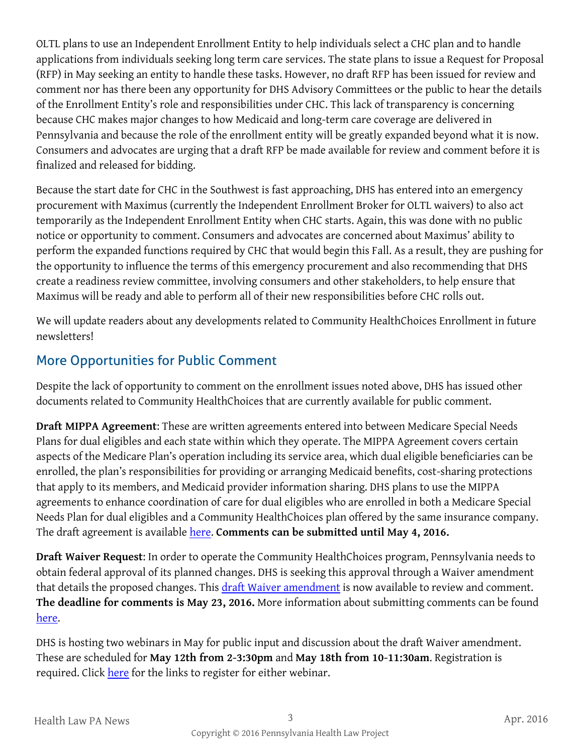OLTL plans to use an Independent Enrollment Entity to help individuals select a CHC plan and to handle applications from individuals seeking long term care services. The state plans to issue a Request for Proposal (RFP) in May seeking an entity to handle these tasks. However, no draft RFP has been issued for review and comment nor has there been any opportunity for DHS Advisory Committees or the public to hear the details of the Enrollment Entity's role and responsibilities under CHC. This lack of transparency is concerning because CHC makes major changes to how Medicaid and long-term care coverage are delivered in Pennsylvania and because the role of the enrollment entity will be greatly expanded beyond what it is now. Consumers and advocates are urging that a draft RFP be made available for review and comment before it is finalized and released for bidding.

Because the start date for CHC in the Southwest is fast approaching, DHS has entered into an emergency procurement with Maximus (currently the Independent Enrollment Broker for OLTL waivers) to also act temporarily as the Independent Enrollment Entity when CHC starts. Again, this was done with no public notice or opportunity to comment. Consumers and advocates are concerned about Maximus' ability to perform the expanded functions required by CHC that would begin this Fall. As a result, they are pushing for the opportunity to influence the terms of this emergency procurement and also recommending that DHS create a readiness review committee, involving consumers and other stakeholders, to help ensure that Maximus will be ready and able to perform all of their new responsibilities before CHC rolls out.

We will update readers about any developments related to Community HealthChoices Enrollment in future newsletters!

#### More Opportunities for Public Comment

Despite the lack of opportunity to comment on the enrollment issues noted above, DHS has issued other documents related to Community HealthChoices that are currently available for public comment.

**Draft MIPPA Agreement**: These are written agreements entered into between Medicare Special Needs Plans for dual eligibles and each state within which they operate. The MIPPA Agreement covers certain aspects of the Medicare Plan's operation including its service area, which dual eligible beneficiaries can be enrolled, the plan's responsibilities for providing or arranging Medicaid benefits, cost-sharing protections that apply to its members, and Medicaid provider information sharing. DHS plans to use the MIPPA agreements to enhance coordination of care for dual eligibles who are enrolled in both a Medicare Special Needs Plan for dual eligibles and a Community HealthChoices plan offered by the same insurance company. The draft agreement is available <u>here</u>. **Comments can be submitted until May 4, 2016.** 

**Draft Waiver Request**: In order to operate the Community HealthChoices program, Pennsylvania needs to obtain federal approval of its planned changes. DHS is seeking this approval through a Waiver amendment that details the proposed changes. This [draft Waiver amendment](http://www.dhs.pa.gov/citizens/communityhealthchoices/waiverapplication/index.htm#.VyKF4FYrJMx) is now available to review and comment. **The deadline for comments is May 23, 2016.** More information about submitting comments can be found [here.](http://www.dhs.pa.gov/citizens/communityhealthchoices/waiverapplication/index.htm#.Vx_Xz1YrJMw)

DHS is hosting two webinars in May for public input and discussion about the draft Waiver amendment. These are scheduled for **May 12th from 2-3:30pm** and **May 18th from 10-11:30am**. Registration is required. Click [here](http://www.dhs.pa.gov/citizens/communityhealthchoices/waiverapplication/index.htm#.Vx_Xz1YrJMw) for the links to register for either webinar.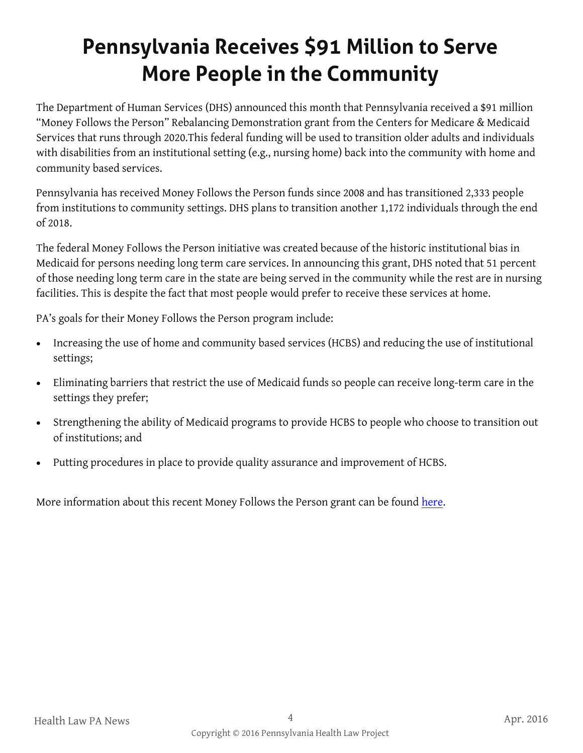# **Pennsylvania Receives \$91 Million to Serve More People in the Community**

The Department of Human Services (DHS) announced this month that Pennsylvania received a \$91 million "Money Follows the Person" Rebalancing Demonstration grant from the Centers for Medicare & Medicaid Services that runs through 2020.This federal funding will be used to transition older adults and individuals with disabilities from an institutional setting (e.g., nursing home) back into the community with home and community based services.

Pennsylvania has received Money Follows the Person funds since 2008 and has transitioned 2,333 people from institutions to community settings. DHS plans to transition another 1,172 individuals through the end of 2018.

The federal Money Follows the Person initiative was created because of the historic institutional bias in Medicaid for persons needing long term care services. In announcing this grant, DHS noted that 51 percent of those needing long term care in the state are being served in the community while the rest are in nursing facilities. This is despite the fact that most people would prefer to receive these services at home.

PA's goals for their Money Follows the Person program include:

- Increasing the use of home and community based services (HCBS) and reducing the use of institutional settings;
- Eliminating barriers that restrict the use of Medicaid funds so people can receive long-term care in the settings they prefer;
- Strengthening the ability of Medicaid programs to provide HCBS to people who choose to transition out of institutions; and
- Putting procedures in place to provide quality assurance and improvement of HCBS.

More information about this recent Money Follows the Person grant can be found [here.](http://www.media.pa.gov/Pages/DHS_details.aspx?newsid=201)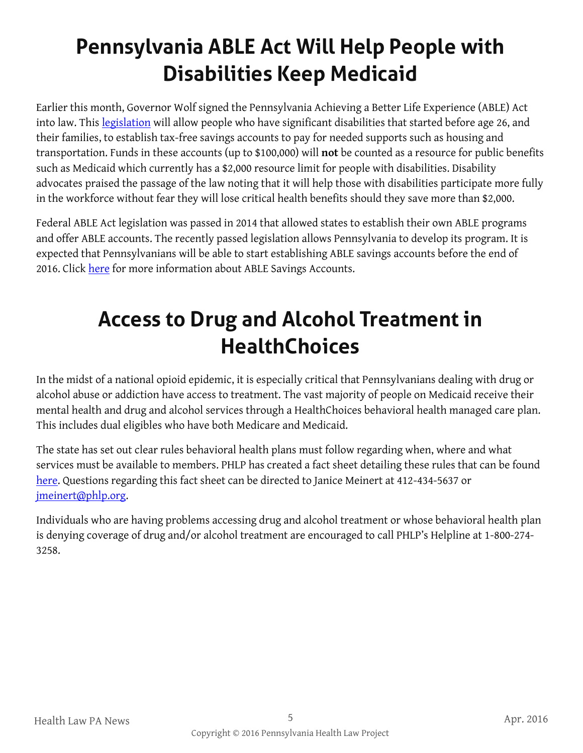## **Pennsylvania ABLE Act Will Help People with Disabilities Keep Medicaid**

Earlier this month, Governor Wolf signed the Pennsylvania Achieving a Better Life Experience (ABLE) Act into law. This [legislation](http://www.legis.state.pa.us/CFDOCS/Legis/PN/Public/btCheck.cfm?txtType=HTM&sessYr=2015&sessInd=0&billBody=S&billTyp=B&billNbr=0879&pn=1618) will allow people who have significant disabilities that started before age 26, and their families, to establish tax-free savings accounts to pay for needed supports such as housing and transportation. Funds in these accounts (up to \$100,000) will **not** be counted as a resource for public benefits such as Medicaid which currently has a \$2,000 resource limit for people with disabilities. Disability advocates praised the passage of the law noting that it will help those with disabilities participate more fully in the workforce without fear they will lose critical health benefits should they save more than \$2,000.

Federal ABLE Act legislation was passed in 2014 that allowed states to establish their own ABLE programs and offer ABLE accounts. The recently passed legislation allows Pennsylvania to develop its program. It is expected that Pennsylvanians will be able to start establishing ABLE savings accounts before the end of 2016. Click [here](http://www.thearcpa.org/able.html) for more information about ABLE Savings Accounts.

### **Access to Drug and Alcohol Treatment in HealthChoices**

In the midst of a national opioid epidemic, it is especially critical that Pennsylvanians dealing with drug or alcohol abuse or addiction have access to treatment. The vast majority of people on Medicaid receive their mental health and drug and alcohol services through a HealthChoices behavioral health managed care plan. This includes dual eligibles who have both Medicare and Medicaid.

The state has set out clear rules behavioral health plans must follow regarding when, where and what services must be available to members. PHLP has created a fact sheet detailing these rules that can be found [here.](http://www.phlp.org/wp-content/uploads/2016/04/DA-Access-Fact-Sheet.pdf) Questions regarding this fact sheet can be directed to Janice Meinert at 412-434-5637 or [jmeinert@phlp.org.](mailto:jmeinert@phlp.org)

Individuals who are having problems accessing drug and alcohol treatment or whose behavioral health plan is denying coverage of drug and/or alcohol treatment are encouraged to call PHLP's Helpline at 1-800-274- 3258.